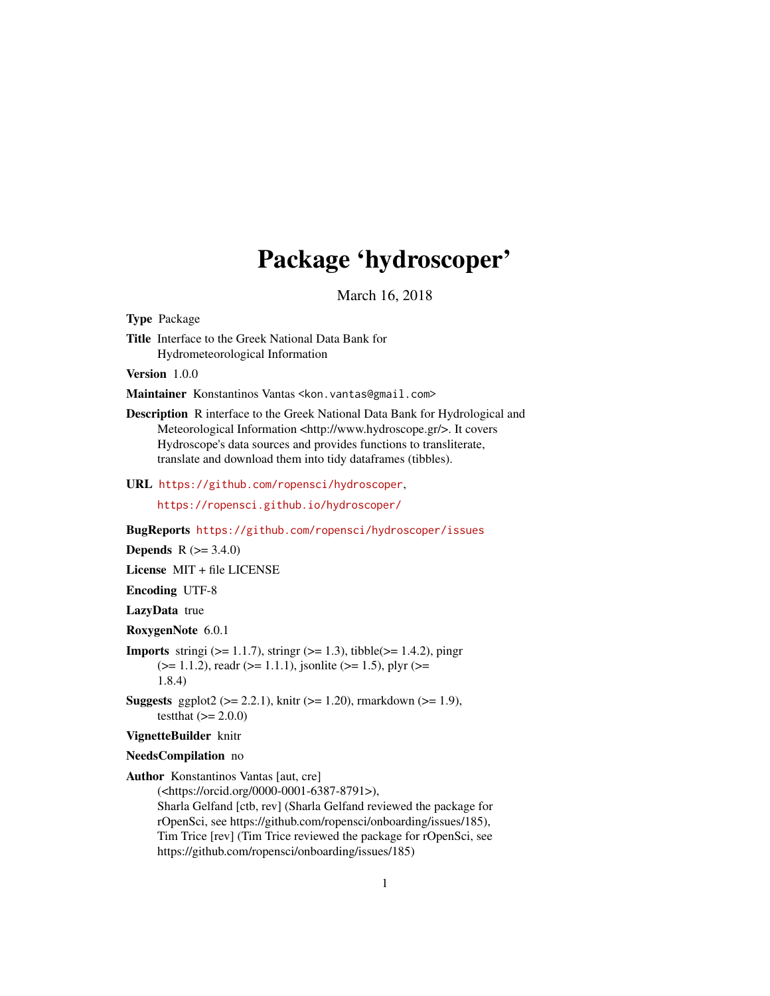# Package 'hydroscoper'

March 16, 2018

Type Package

Title Interface to the Greek National Data Bank for Hydrometeorological Information

Version 1.0.0

Maintainer Konstantinos Vantas <kon.vantas@gmail.com>

Description R interface to the Greek National Data Bank for Hydrological and Meteorological Information <http://www.hydroscope.gr/>. It covers Hydroscope's data sources and provides functions to transliterate, translate and download them into tidy dataframes (tibbles).

URL <https://github.com/ropensci/hydroscoper>,

<https://ropensci.github.io/hydroscoper/>

BugReports <https://github.com/ropensci/hydroscoper/issues>

**Depends** R  $(>= 3.4.0)$ 

License MIT + file LICENSE

Encoding UTF-8

LazyData true

RoxygenNote 6.0.1

- **Imports** stringi ( $> = 1.1.7$ ), stringr ( $> = 1.3$ ), tibble( $> = 1.4.2$ ), pingr  $(>= 1.1.2)$ , readr  $(>= 1.1.1)$ , jsonlite  $(>= 1.5)$ , plyr  $(>= 1.1.2)$ 1.8.4)
- **Suggests** ggplot2 ( $>= 2.2.1$ ), knitr ( $>= 1.20$ ), rmarkdown ( $>= 1.9$ ), testthat  $(>= 2.0.0)$

VignetteBuilder knitr

#### NeedsCompilation no

Author Konstantinos Vantas [aut, cre]

(<https://orcid.org/0000-0001-6387-8791>),

Sharla Gelfand [ctb, rev] (Sharla Gelfand reviewed the package for rOpenSci, see https://github.com/ropensci/onboarding/issues/185), Tim Trice [rev] (Tim Trice reviewed the package for rOpenSci, see https://github.com/ropensci/onboarding/issues/185)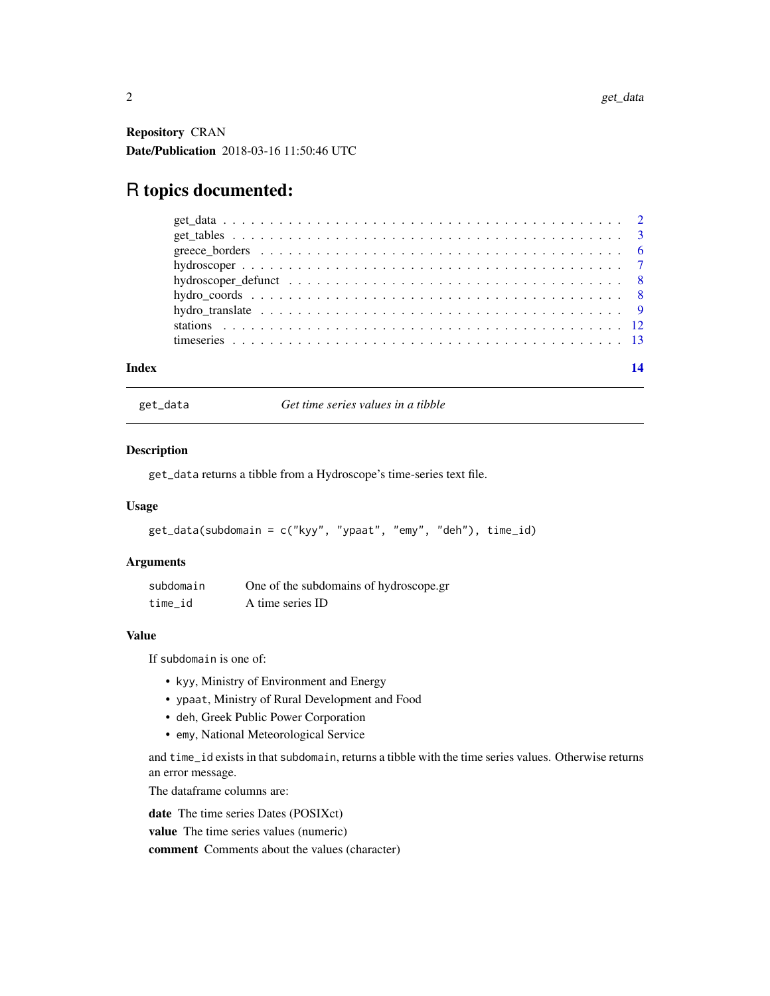<span id="page-1-0"></span>Repository CRAN Date/Publication 2018-03-16 11:50:46 UTC

## R topics documented:

| Index |  |
|-------|--|
|       |  |
|       |  |
|       |  |
|       |  |
|       |  |
|       |  |
|       |  |
|       |  |
|       |  |

get\_data *Get time series values in a tibble*

#### Description

get\_data returns a tibble from a Hydroscope's time-series text file.

#### Usage

```
get_data(subdomain = c("kyy", "ypaat", "emy", "deh"), time_id)
```
#### Arguments

| subdomain | One of the subdomains of hydroscope.gr |
|-----------|----------------------------------------|
| time id   | A time series ID                       |

#### Value

If subdomain is one of:

- kyy, Ministry of Environment and Energy
- ypaat, Ministry of Rural Development and Food
- deh, Greek Public Power Corporation
- emy, National Meteorological Service

and time\_id exists in that subdomain, returns a tibble with the time series values. Otherwise returns an error message.

The dataframe columns are:

date The time series Dates (POSIXct)

value The time series values (numeric)

comment Comments about the values (character)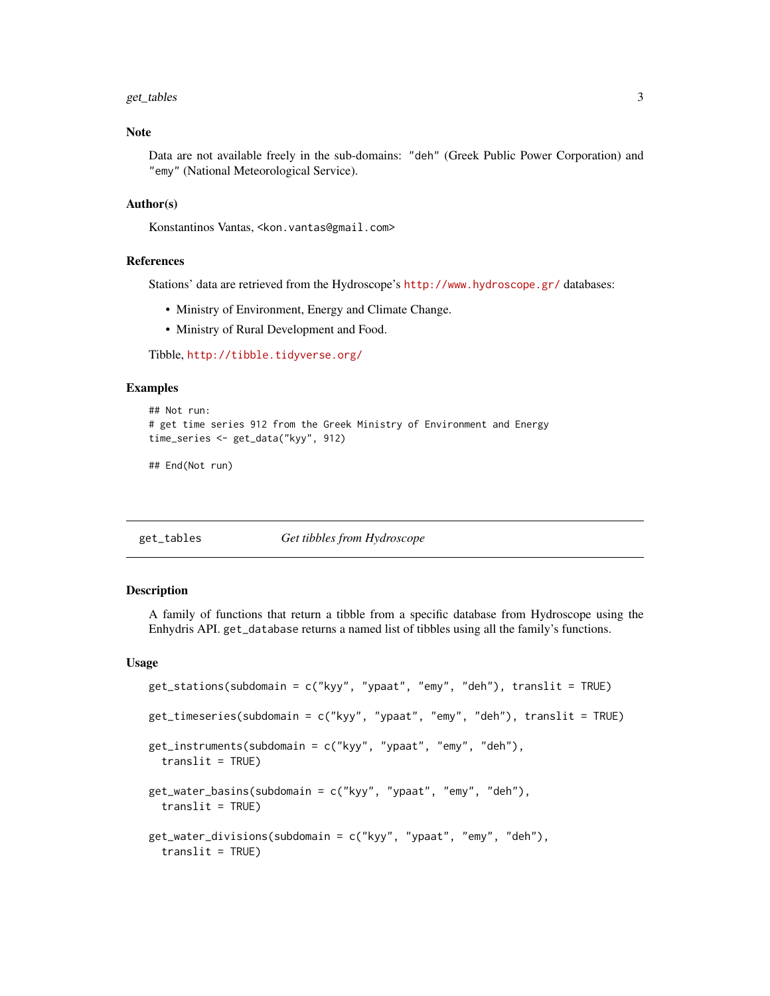#### <span id="page-2-0"></span>get\_tables 3

#### Note

Data are not available freely in the sub-domains: "deh" (Greek Public Power Corporation) and "emy" (National Meteorological Service).

#### Author(s)

Konstantinos Vantas, <kon.vantas@gmail.com>

#### References

Stations' data are retrieved from the Hydroscope's <http://www.hydroscope.gr/> databases:

- Ministry of Environment, Energy and Climate Change.
- Ministry of Rural Development and Food.

Tibble, <http://tibble.tidyverse.org/>

#### Examples

```
## Not run:
# get time series 912 from the Greek Ministry of Environment and Energy
time_series <- get_data("kyy", 912)
```
## End(Not run)

### get\_tables *Get tibbles from Hydroscope*

#### Description

A family of functions that return a tibble from a specific database from Hydroscope using the Enhydris API. get\_database returns a named list of tibbles using all the family's functions.

#### Usage

```
get_stations(subdomain = c("kyy", "ypaat", "emy", "deh"), translit = TRUE)
get_timeseries(subdomain = c("kyy", "ypaat", "emy", "deh"), translit = TRUE)
get_instruments(subdomain = c("kyy", "ypaat", "emy", "deh"),
  translit = TRUE)
get_water_basins(subdomain = c("kyy", "ypaat", "emy", "deh"),
  translit = TRUE)
get_water_divisions(subdomain = c("kyy", "ypaat", "emy", "deh"),
  translit = TRUE)
```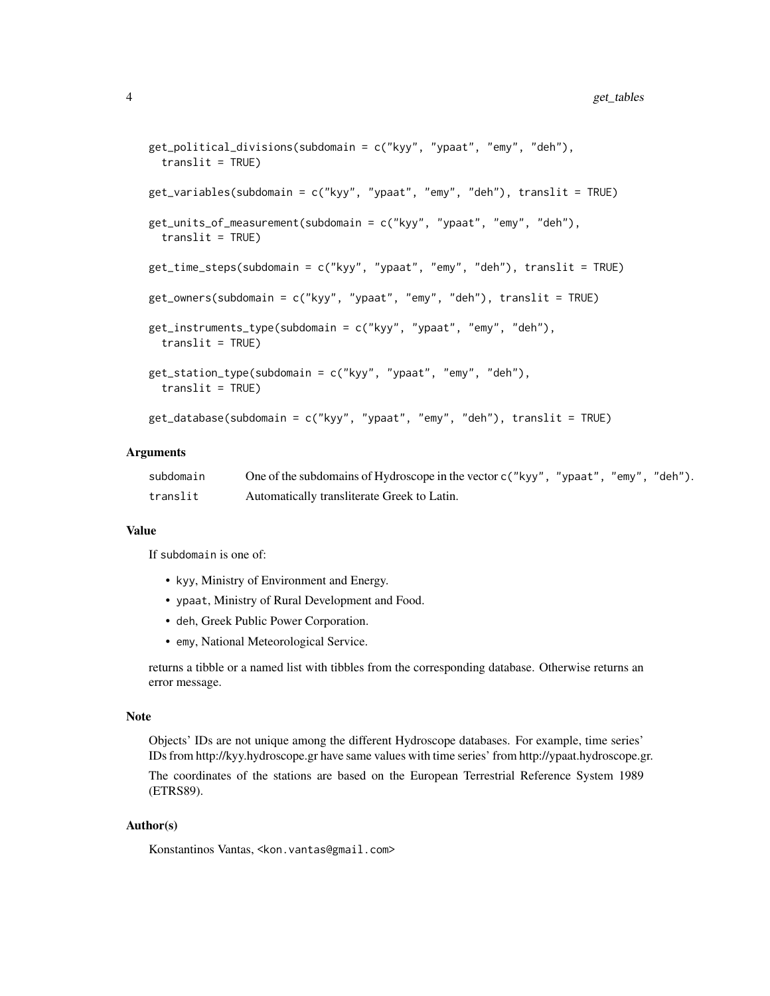```
get_political_divisions(subdomain = c("kyy", "ypaat", "emy", "deh"),
  translit = TRUE)
get_variables(subdomain = c("kyy", "ypaat", "emy", "deh"), translit = TRUE)
get_units_of_measurement(subdomain = c("kyy", "ypaat", "emy", "deh"),
  translit = TRUE)
get_time_steps(subdomain = c("kyy", "ypaat", "emy", "deh"), translit = TRUE)
get_owners(subdomain = c("kyy", "ypaat", "emy", "deh"), translit = TRUE)
get_instruments_type(subdomain = c("kyy", "ypaat", "emy", "deh"),
  translit = TRUE)
get_station_type(subdomain = c("kyy", "ypaat", "emy", "deh"),
  translit = TRUE)
get_database(subdomain = c("kyy", "ypaat", "emy", "deh"), translit = TRUE)
```
#### Arguments

| subdomain | One of the subdomains of Hydroscope in the vector c("kyy", "ypaat", "emy", "deh"). |
|-----------|------------------------------------------------------------------------------------|
| translit  | Automatically transliterate Greek to Latin.                                        |

#### Value

If subdomain is one of:

- kyy, Ministry of Environment and Energy.
- ypaat, Ministry of Rural Development and Food.
- deh, Greek Public Power Corporation.
- emy, National Meteorological Service.

returns a tibble or a named list with tibbles from the corresponding database. Otherwise returns an error message.

#### Note

Objects' IDs are not unique among the different Hydroscope databases. For example, time series' IDs from http://kyy.hydroscope.gr have same values with time series' from http://ypaat.hydroscope.gr.

The coordinates of the stations are based on the European Terrestrial Reference System 1989 (ETRS89).

#### Author(s)

Konstantinos Vantas, <kon.vantas@gmail.com>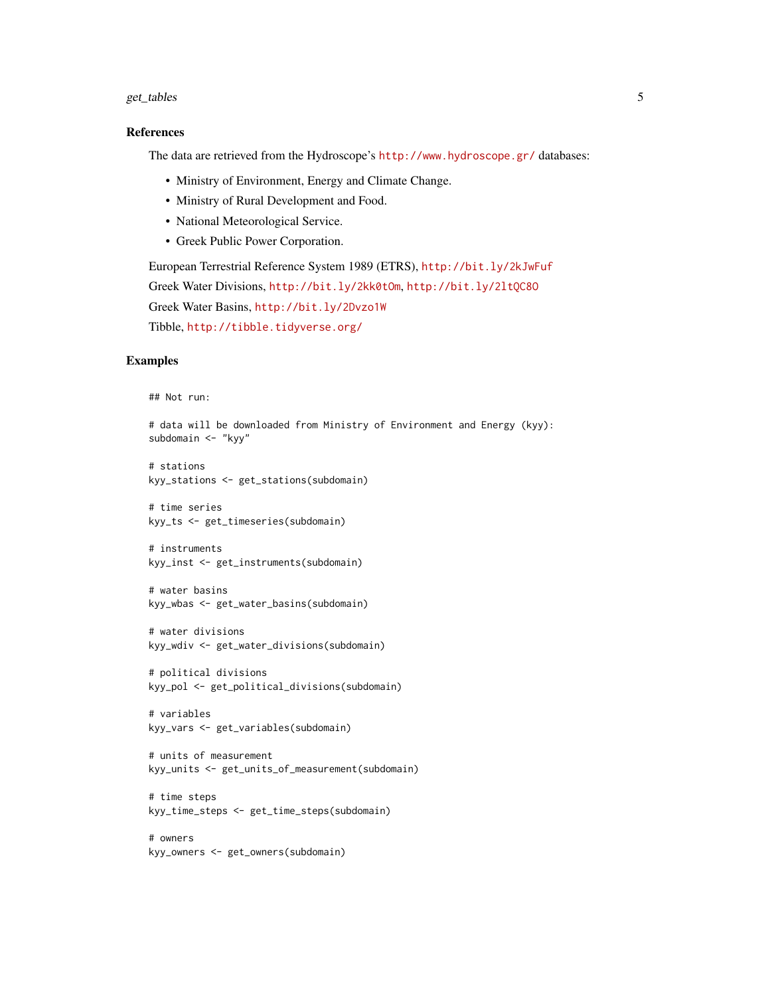#### get\_tables 5

#### References

The data are retrieved from the Hydroscope's <http://www.hydroscope.gr/> databases:

- Ministry of Environment, Energy and Climate Change.
- Ministry of Rural Development and Food.
- National Meteorological Service.
- Greek Public Power Corporation.

European Terrestrial Reference System 1989 (ETRS), <http://bit.ly/2kJwFuf> Greek Water Divisions, <http://bit.ly/2kk0tOm>, <http://bit.ly/2ltQC8O> Greek Water Basins, <http://bit.ly/2Dvzo1W> Tibble, <http://tibble.tidyverse.org/>

#### Examples

## Not run:

```
# data will be downloaded from Ministry of Environment and Energy (kyy):
subdomain <- "kyy"
```

```
# stations
kyy_stations <- get_stations(subdomain)
```
# time series kyy\_ts <- get\_timeseries(subdomain)

```
# instruments
kyy_inst <- get_instruments(subdomain)
```

```
# water basins
kyy_wbas <- get_water_basins(subdomain)
```

```
# water divisions
kyy_wdiv <- get_water_divisions(subdomain)
```

```
# political divisions
kyy_pol <- get_political_divisions(subdomain)
```

```
# variables
kyy_vars <- get_variables(subdomain)
```

```
# units of measurement
kyy_units <- get_units_of_measurement(subdomain)
```

```
# time steps
kyy_time_steps <- get_time_steps(subdomain)
```
# owners kyy\_owners <- get\_owners(subdomain)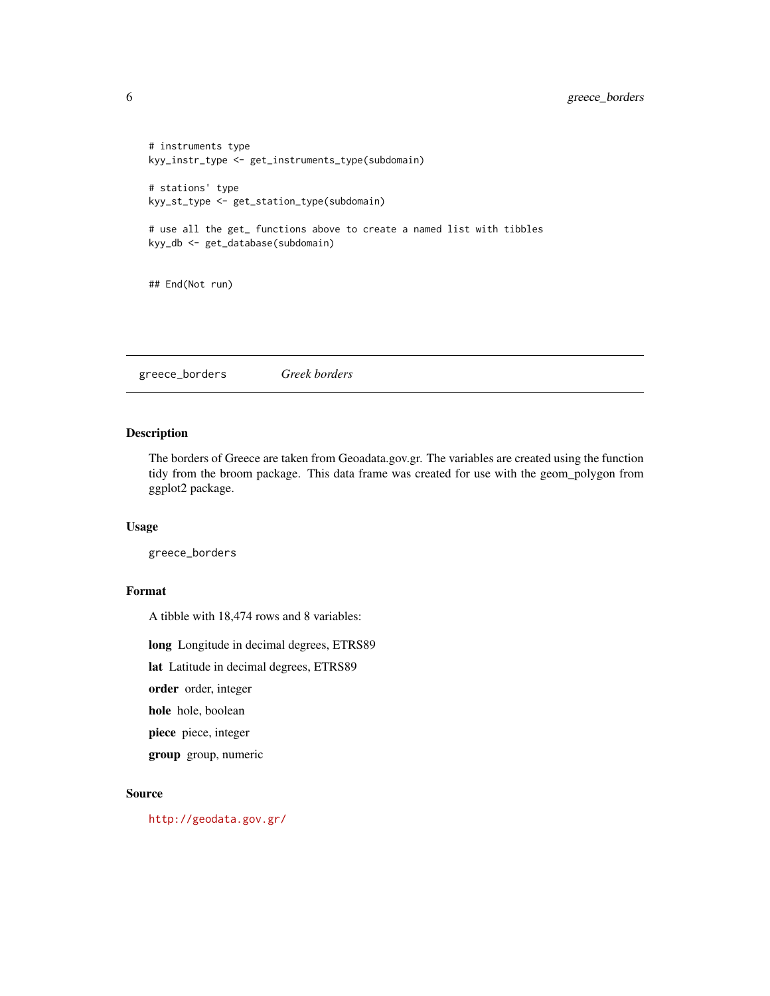```
# instruments type
kyy_instr_type <- get_instruments_type(subdomain)
# stations' type
kyy_st_type <- get_station_type(subdomain)
# use all the get_ functions above to create a named list with tibbles
kyy_db <- get_database(subdomain)
## End(Not run)
```
greece\_borders *Greek borders*

### Description

The borders of Greece are taken from Geoadata.gov.gr. The variables are created using the function tidy from the broom package. This data frame was created for use with the geom\_polygon from ggplot2 package.

#### Usage

greece\_borders

#### Format

A tibble with 18,474 rows and 8 variables:

long Longitude in decimal degrees, ETRS89

lat Latitude in decimal degrees, ETRS89

order order, integer

hole hole, boolean

piece piece, integer

group group, numeric

#### Source

<http://geodata.gov.gr/>

<span id="page-5-0"></span>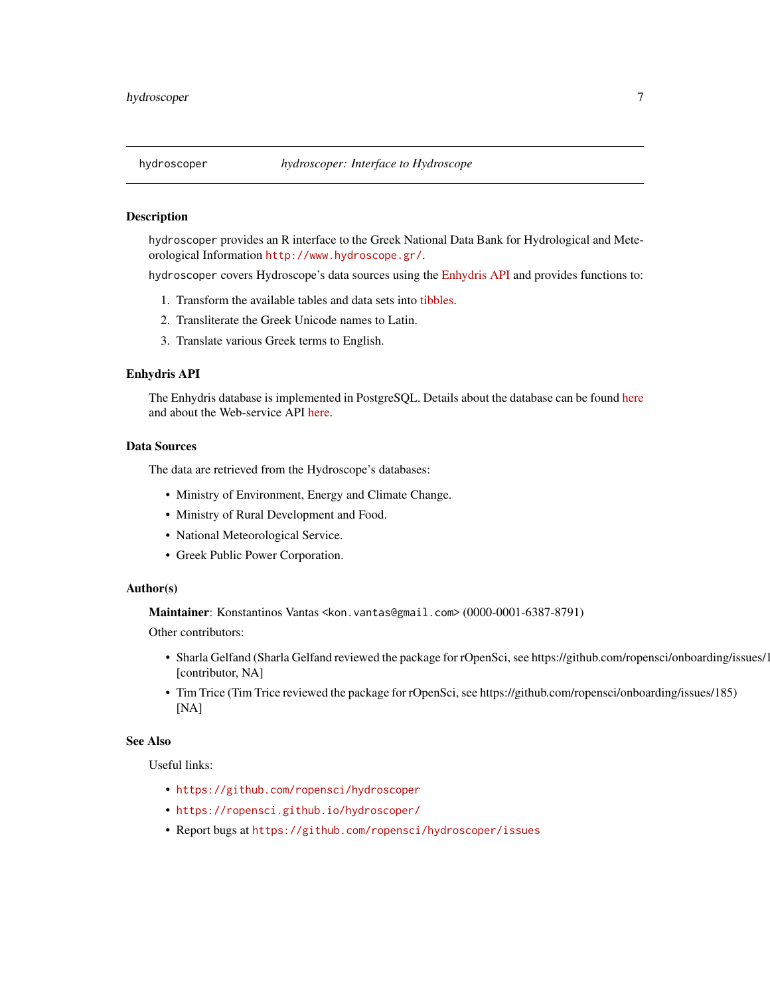#### <span id="page-6-0"></span>Description

hydroscoper provides an R interface to the Greek National Data Bank for Hydrological and Meteorological Information <http://www.hydroscope.gr/>.

hydroscoper covers Hydroscope's data sources using the [Enhydris API](http://bit.ly/2CLlAAA) and provides functions to:

- 1. Transform the available tables and data sets into [tibbles.](http://bit.ly/2Dg1sHY)
- 2. Transliterate the Greek Unicode names to Latin.
- 3. Translate various Greek terms to English.

#### Enhydris API

The Enhydris database is implemented in PostgreSQL. Details about the database can be found [here](http://bit.ly/2D0cZgA) and about the Web-service API [here.](http://bit.ly/2FlRtBB)

#### Data Sources

The data are retrieved from the Hydroscope's databases:

- Ministry of Environment, Energy and Climate Change.
- Ministry of Rural Development and Food.
- National Meteorological Service.
- Greek Public Power Corporation.

#### Author(s)

Maintainer: Konstantinos Vantas <kon.vantas@gmail.com> (0000-0001-6387-8791)

Other contributors:

- Sharla Gelfand (Sharla Gelfand reviewed the package for rOpenSci, see https://github.com/ropensci/onboarding/issues/185) [contributor, NA]
- Tim Trice (Tim Trice reviewed the package for rOpenSci, see https://github.com/ropensci/onboarding/issues/185) [NA]

### See Also

Useful links:

- <https://github.com/ropensci/hydroscoper>
- <https://ropensci.github.io/hydroscoper/>
- Report bugs at <https://github.com/ropensci/hydroscoper/issues>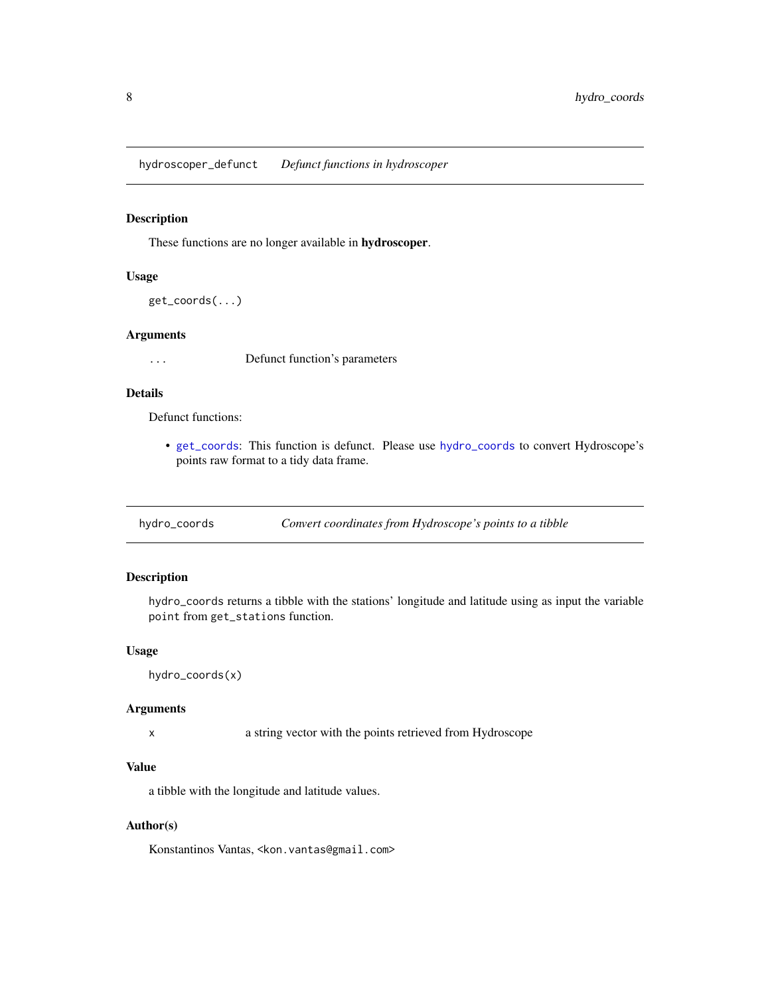<span id="page-7-0"></span>hydroscoper\_defunct *Defunct functions in hydroscoper*

#### <span id="page-7-1"></span>Description

These functions are no longer available in hydroscoper.

#### Usage

```
get_coords(...)
```
#### Arguments

... Defunct function's parameters

#### Details

Defunct functions:

• [get\\_coords](#page-7-1): This function is defunct. Please use [hydro\\_coords](#page-7-2) to convert Hydroscope's points raw format to a tidy data frame.

<span id="page-7-2"></span>hydro\_coords *Convert coordinates from Hydroscope's points to a tibble*

#### Description

hydro\_coords returns a tibble with the stations' longitude and latitude using as input the variable point from get\_stations function.

#### Usage

hydro\_coords(x)

#### Arguments

x a string vector with the points retrieved from Hydroscope

#### Value

a tibble with the longitude and latitude values.

#### Author(s)

Konstantinos Vantas, <kon.vantas@gmail.com>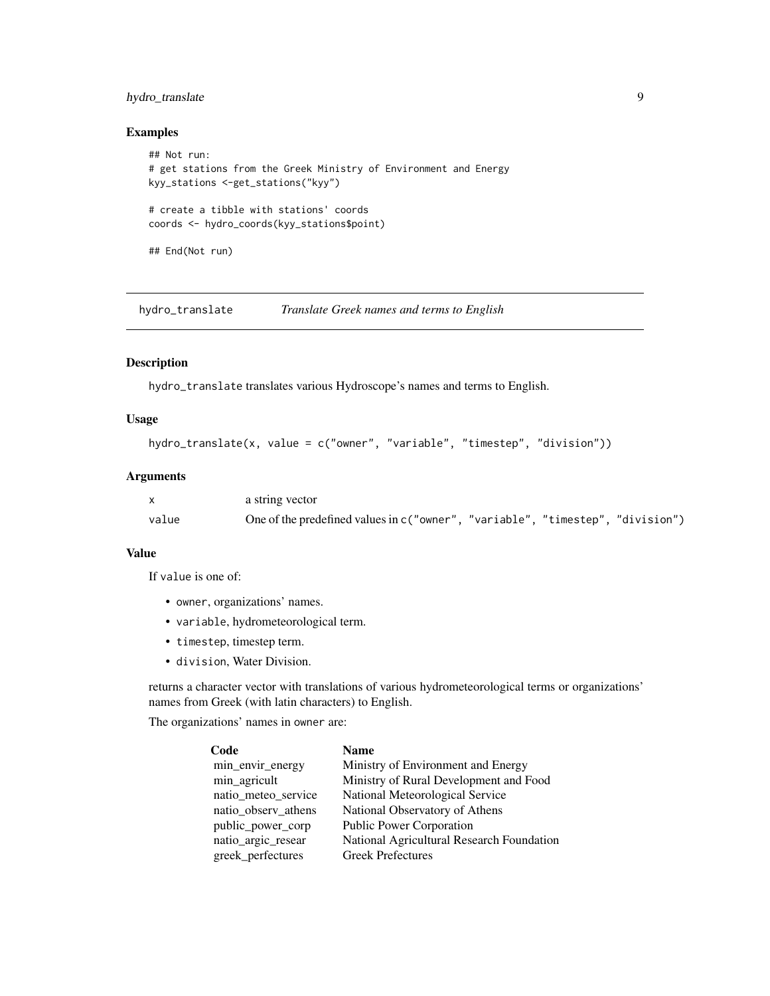### <span id="page-8-0"></span>hydro\_translate 9

#### Examples

```
## Not run:
# get stations from the Greek Ministry of Environment and Energy
kyy_stations <-get_stations("kyy")
# create a tibble with stations' coords
coords <- hydro_coords(kyy_stations$point)
## End(Not run)
```
hydro\_translate *Translate Greek names and terms to English*

#### Description

hydro\_translate translates various Hydroscope's names and terms to English.

#### Usage

```
hydro_translate(x, value = c("owner", "variable", "timestep", "division"))
```
#### Arguments

|       | a string vector                                                                |  |  |
|-------|--------------------------------------------------------------------------------|--|--|
| value | One of the predefined values in c("owner", "variable", "timestep", "division") |  |  |

#### Value

If value is one of:

- owner, organizations' names.
- variable, hydrometeorological term.
- timestep, timestep term.
- division, Water Division.

returns a character vector with translations of various hydrometeorological terms or organizations' names from Greek (with latin characters) to English.

The organizations' names in owner are:

| Code                | <b>Name</b>                               |
|---------------------|-------------------------------------------|
| min_envir_energy    | Ministry of Environment and Energy        |
| min_agricult        | Ministry of Rural Development and Food    |
| natio_meteo_service | National Meteorological Service           |
| natio_observ_athens | National Observatory of Athens            |
| public_power_corp   | <b>Public Power Corporation</b>           |
| natio_argic_resear  | National Agricultural Research Foundation |
| greek_perfectures   | <b>Greek Prefectures</b>                  |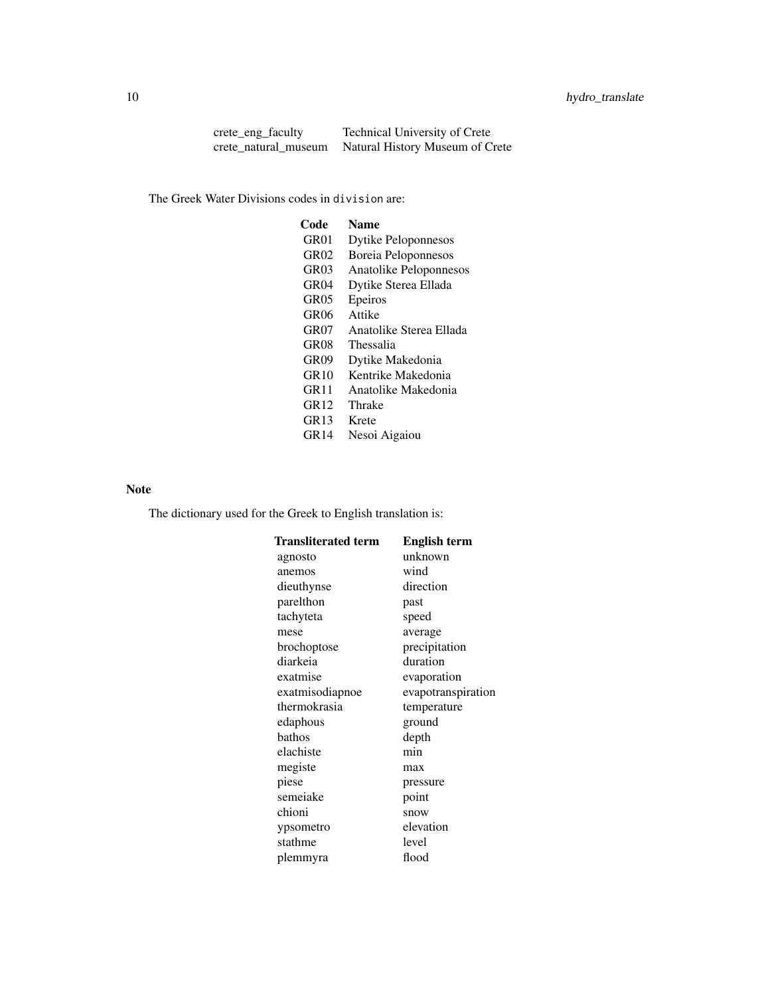## 10 hydro\_translate

| crete_eng_faculty    | Technical University of Crete   |
|----------------------|---------------------------------|
| crete natural museum | Natural History Museum of Crete |

The Greek Water Divisions codes in division are:

| Code             | <b>Name</b>             |
|------------------|-------------------------|
| GR01             | Dytike Peloponnesos     |
| GR <sub>02</sub> | Boreia Peloponnesos     |
| GR03             | Anatolike Peloponnesos  |
| GR04             | Dytike Sterea Ellada    |
| GR05             | Epeiros                 |
| GR06             | Attike                  |
| GR07             | Anatolike Sterea Ellada |
| <b>GR08</b>      | Thessalia               |
| GR09             | Dytike Makedonia        |
| GR 10            | Kentrike Makedonia      |
| GR 11            | Anatolike Makedonia     |
| GR 12            | Thrake                  |
| GR13             | Krete                   |
| GR 14            | Nesoi Aigaiou           |
|                  |                         |

Note

The dictionary used for the Greek to English translation is:

| English term       |
|--------------------|
| unknown            |
| wind               |
| direction          |
| past               |
| speed              |
| average            |
| precipitation      |
| duration           |
| evaporation        |
| evapotranspiration |
| temperature        |
| ground             |
| depth              |
| min                |
| max                |
| pressure           |
| point              |
| snow               |
| elevation          |
| level              |
| flood              |
|                    |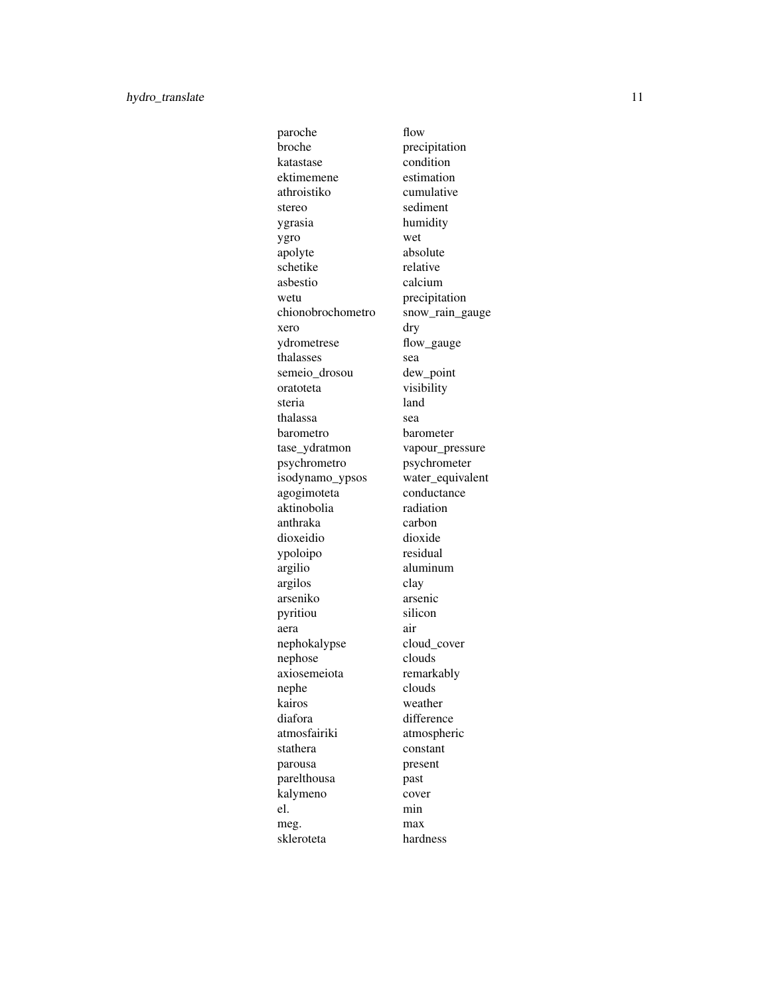paroche flow broche precipitation katastase condition ektimemene estimation athroistiko cumulative stereo sediment ygrasia humidity ygro wet apolyte absolute schetike relative asbestio calcium wetu precipitation chionobrochometro snow\_rain\_gauge xero dry ydrometrese flow\_gauge thalasses sea semeio\_drosou dew\_point oratoteta visibility steria land thalassa sea barometro barometer tase\_ydratmon vapour\_pressure psychrometro psychrometer isodynamo\_ypsos water\_equivalent agogimoteta aktinobolia radiation anthraka carbon dioxeidio dioxide ypoloipo argilio aluminum argilos clay arseniko arsenic pyritiou silicon aera air<br>
nephokalypse cloud\_cover nephokalypse nephose clouds axiosemeiota remarkably nephe clouds kairos weather diafora difference atmosfairiki atmospheric parousa present parelthousa past kalymeno cover<br>el. min meg. max skleroteta hardness

constant min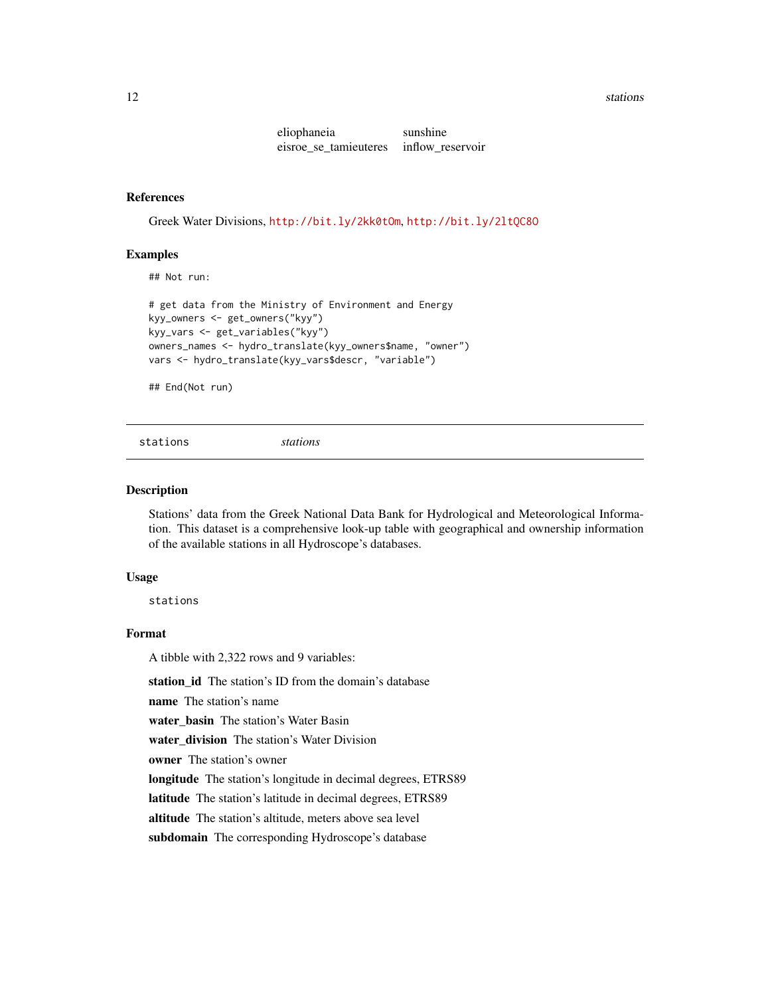#### <span id="page-11-0"></span>12 stations and the stations of the stations of the stations of the stations of the stations of the stations of the stations of the stations of the stations of the stations of the stations of the stations of the stations o

eliophaneia sunshine eisroe\_se\_tamieuteres inflow\_reservoir

#### References

Greek Water Divisions, <http://bit.ly/2kk0tOm>, <http://bit.ly/2ltQC8O>

#### Examples

## Not run:

```
# get data from the Ministry of Environment and Energy
kyy_owners <- get_owners("kyy")
kyy_vars <- get_variables("kyy")
owners_names <- hydro_translate(kyy_owners$name, "owner")
vars <- hydro_translate(kyy_vars$descr, "variable")
```
## End(Not run)

stations *stations*

#### **Description**

Stations' data from the Greek National Data Bank for Hydrological and Meteorological Information. This dataset is a comprehensive look-up table with geographical and ownership information of the available stations in all Hydroscope's databases.

#### Usage

stations

#### Format

A tibble with 2,322 rows and 9 variables:

station\_id The station's ID from the domain's database

name The station's name

water\_basin The station's Water Basin

water division The station's Water Division

owner The station's owner

longitude The station's longitude in decimal degrees, ETRS89

latitude The station's latitude in decimal degrees, ETRS89

altitude The station's altitude, meters above sea level

subdomain The corresponding Hydroscope's database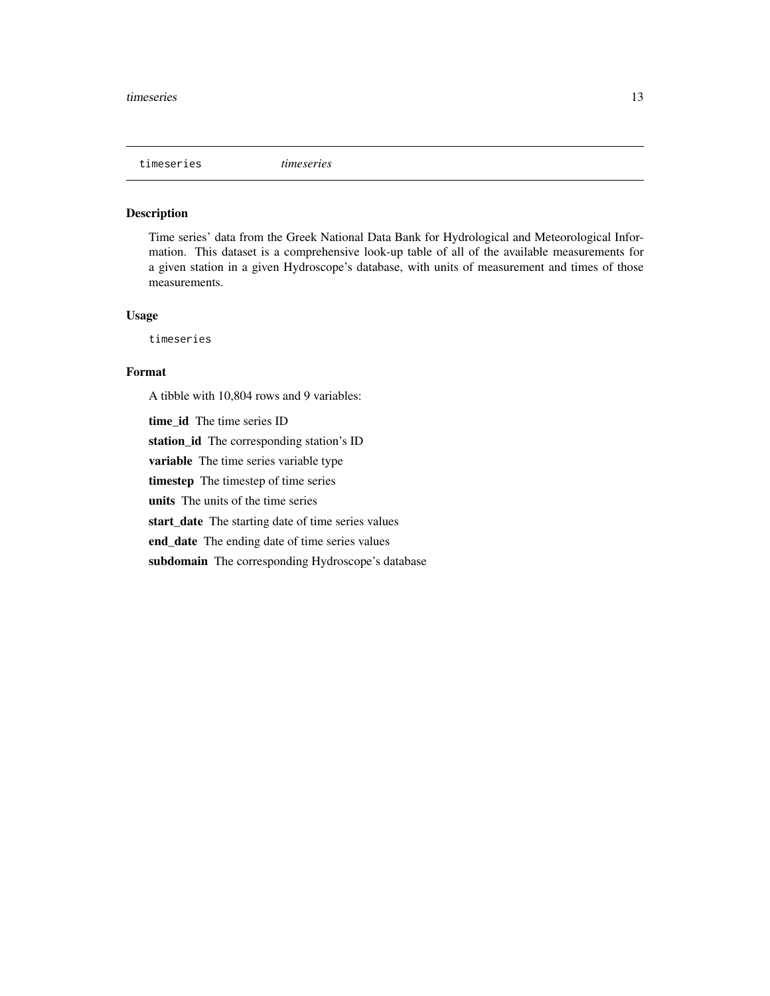<span id="page-12-0"></span>

### Description

Time series' data from the Greek National Data Bank for Hydrological and Meteorological Information. This dataset is a comprehensive look-up table of all of the available measurements for a given station in a given Hydroscope's database, with units of measurement and times of those measurements.

#### Usage

timeseries

#### Format

A tibble with 10,804 rows and 9 variables:

time\_id The time series ID station\_id The corresponding station's ID variable The time series variable type timestep The timestep of time series units The units of the time series start\_date The starting date of time series values end\_date The ending date of time series values subdomain The corresponding Hydroscope's database